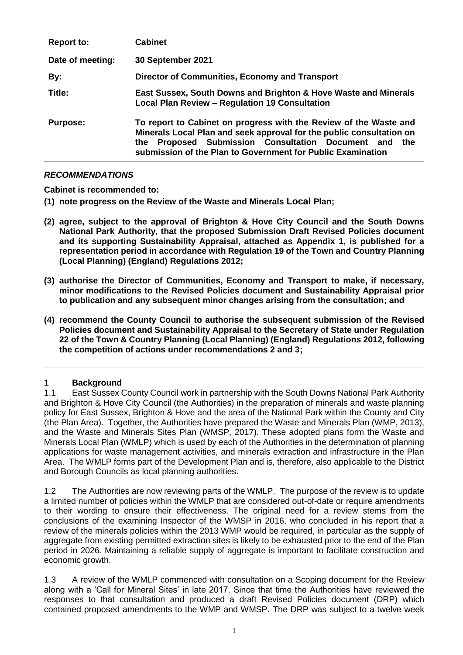| <b>Report to:</b> | <b>Cabinet</b>                                                                                                                                                                                                                                                          |
|-------------------|-------------------------------------------------------------------------------------------------------------------------------------------------------------------------------------------------------------------------------------------------------------------------|
| Date of meeting:  | 30 September 2021                                                                                                                                                                                                                                                       |
| By:               | Director of Communities, Economy and Transport                                                                                                                                                                                                                          |
| Title:            | East Sussex, South Downs and Brighton & Hove Waste and Minerals<br><b>Local Plan Review - Regulation 19 Consultation</b>                                                                                                                                                |
| <b>Purpose:</b>   | To report to Cabinet on progress with the Review of the Waste and<br>Minerals Local Plan and seek approval for the public consultation on<br>Proposed Submission Consultation Document and<br>the<br>the<br>submission of the Plan to Government for Public Examination |

## *RECOMMENDATIONS*

**Cabinet is recommended to:**

**(1) note progress on the Review of the Waste and Minerals Local Plan;** 

- **(2) agree, subject to the approval of Brighton & Hove City Council and the South Downs National Park Authority, that the proposed Submission Draft Revised Policies document and its supporting Sustainability Appraisal, attached as Appendix 1, is published for a representation period in accordance with Regulation 19 of the Town and Country Planning (Local Planning) (England) Regulations 2012;**
- **(3) authorise the Director of Communities, Economy and Transport to make, if necessary, minor modifications to the Revised Policies document and Sustainability Appraisal prior to publication and any subsequent minor changes arising from the consultation; and**
- **(4) recommend the County Council to authorise the subsequent submission of the Revised Policies document and Sustainability Appraisal to the Secretary of State under Regulation 22 of the Town & Country Planning (Local Planning) (England) Regulations 2012, following the competition of actions under recommendations 2 and 3;**

## **1 Background**

1.1 East Sussex County Council work in partnership with the South Downs National Park Authority and Brighton & Hove City Council (the Authorities) in the preparation of minerals and waste planning policy for East Sussex, Brighton & Hove and the area of the National Park within the County and City (the Plan Area). Together, the Authorities have prepared the Waste and Minerals Plan (WMP, 2013), and the Waste and Minerals Sites Plan (WMSP, 2017). These adopted plans form the Waste and Minerals Local Plan (WMLP) which is used by each of the Authorities in the determination of planning applications for waste management activities, and minerals extraction and infrastructure in the Plan Area. The WMLP forms part of the Development Plan and is, therefore, also applicable to the District and Borough Councils as local planning authorities.

1.2 The Authorities are now reviewing parts of the WMLP. The purpose of the review is to update a limited number of policies within the WMLP that are considered out-of-date or require amendments to their wording to ensure their effectiveness. The original need for a review stems from the conclusions of the examining Inspector of the WMSP in 2016, who concluded in his report that a review of the minerals policies within the 2013 WMP would be required, in particular as the supply of aggregate from existing permitted extraction sites is likely to be exhausted prior to the end of the Plan period in 2026. Maintaining a reliable supply of aggregate is important to facilitate construction and economic growth.

1.3 A review of the WMLP commenced with consultation on a Scoping document for the Review along with a 'Call for Mineral Sites' in late 2017. Since that time the Authorities have reviewed the responses to that consultation and produced a draft Revised Policies document (DRP) which contained proposed amendments to the WMP and WMSP. The DRP was subject to a twelve week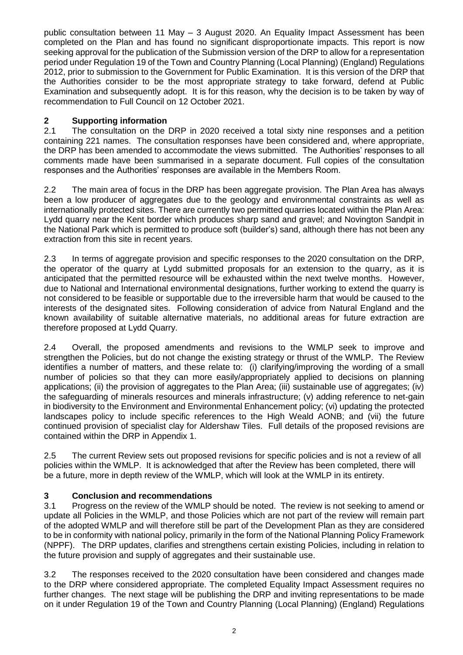public consultation between 11 May – 3 August 2020. An Equality Impact Assessment has been completed on the Plan and has found no significant disproportionate impacts. This report is now seeking approval for the publication of the Submission version of the DRP to allow for a representation period under Regulation 19 of the Town and Country Planning (Local Planning) (England) Regulations 2012, prior to submission to the Government for Public Examination. It is this version of the DRP that the Authorities consider to be the most appropriate strategy to take forward, defend at Public Examination and subsequently adopt. It is for this reason, why the decision is to be taken by way of recommendation to Full Council on 12 October 2021.

# **2 Supporting information**

2.1 The consultation on the DRP in 2020 received a total sixty nine responses and a petition containing 221 names. The consultation responses have been considered and, where appropriate, the DRP has been amended to accommodate the views submitted. The Authorities' responses to all comments made have been summarised in a separate document. Full copies of the consultation responses and the Authorities' responses are available in the Members Room.

2.2 The main area of focus in the DRP has been aggregate provision. The Plan Area has always been a low producer of aggregates due to the geology and environmental constraints as well as internationally protected sites. There are currently two permitted quarries located within the Plan Area: Lydd quarry near the Kent border which produces sharp sand and gravel; and Novington Sandpit in the National Park which is permitted to produce soft (builder's) sand, although there has not been any extraction from this site in recent years.

2.3 In terms of aggregate provision and specific responses to the 2020 consultation on the DRP, the operator of the quarry at Lydd submitted proposals for an extension to the quarry, as it is anticipated that the permitted resource will be exhausted within the next twelve months. However, due to National and International environmental designations, further working to extend the quarry is not considered to be feasible or supportable due to the irreversible harm that would be caused to the interests of the designated sites. Following consideration of advice from Natural England and the known availability of suitable alternative materials, no additional areas for future extraction are therefore proposed at Lydd Quarry.

2.4 Overall, the proposed amendments and revisions to the WMLP seek to improve and strengthen the Policies, but do not change the existing strategy or thrust of the WMLP. The Review identifies a number of matters, and these relate to: (i) clarifying/improving the wording of a small number of policies so that they can more easily/appropriately applied to decisions on planning applications; (ii) the provision of aggregates to the Plan Area; (iii) sustainable use of aggregates; (iv) the safeguarding of minerals resources and minerals infrastructure; (v) adding reference to net-gain in biodiversity to the Environment and Environmental Enhancement policy; (vi) updating the protected landscapes policy to include specific references to the High Weald AONB; and (vii) the future continued provision of specialist clay for Aldershaw Tiles. Full details of the proposed revisions are contained within the DRP in Appendix 1.

2.5 The current Review sets out proposed revisions for specific policies and is not a review of all policies within the WMLP. It is acknowledged that after the Review has been completed, there will be a future, more in depth review of the WMLP, which will look at the WMLP in its entirety.

## **3 Conclusion and recommendations**

3.1 Progress on the review of the WMLP should be noted. The review is not seeking to amend or update all Policies in the WMLP, and those Policies which are not part of the review will remain part of the adopted WMLP and will therefore still be part of the Development Plan as they are considered to be in conformity with national policy, primarily in the form of the National Planning Policy Framework (NPPF). The DRP updates, clarifies and strengthens certain existing Policies, including in relation to the future provision and supply of aggregates and their sustainable use.

3.2 The responses received to the 2020 consultation have been considered and changes made to the DRP where considered appropriate. The completed Equality Impact Assessment requires no further changes. The next stage will be publishing the DRP and inviting representations to be made on it under Regulation 19 of the Town and Country Planning (Local Planning) (England) Regulations